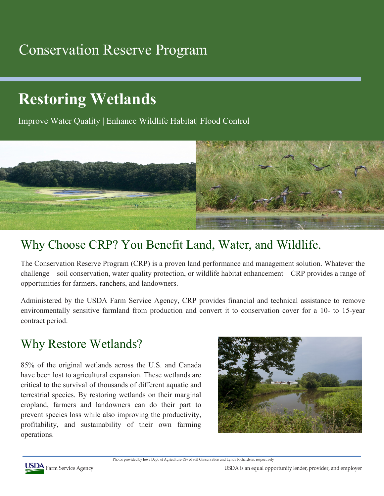## Conservation Reserve Program

# **Restoring Wetlands**

Improve Water Quality | Enhance Wildlife Habitat| Flood Control



### Why Choose CRP? You Benefit Land, Water, and Wildlife.

The Conservation Reserve Program (CRP) is a proven land performance and management solution. Whatever the challenge—soil conservation, water quality protection, or wildlife habitat enhancement—CRP provides a range of opportunities for farmers, ranchers, and landowners.

Administered by the USDA Farm Service Agency, CRP provides financial and technical assistance to remove environmentally sensitive farmland from production and convert it to conservation cover for a 10- to 15-year contract period.

#### Why Restore Wetlands?

85% of the original wetlands across the U.S. and Canada have been lost to agricultural expansion. These wetlands are critical to the survival of thousands of different aquatic and terrestrial species. By restoring wetlands on their marginal cropland, farmers and landowners can do their part to prevent species loss while also improving the productivity, profitability, and sustainability of their own farming operations.



Photos provided by Iowa Dept. of Agriculture-Div of Soil Conservation and Lynda Richardson, respectively

USDA Farm Service Agency **USDA** Farm Service Agency **COST** Farm Service Agency